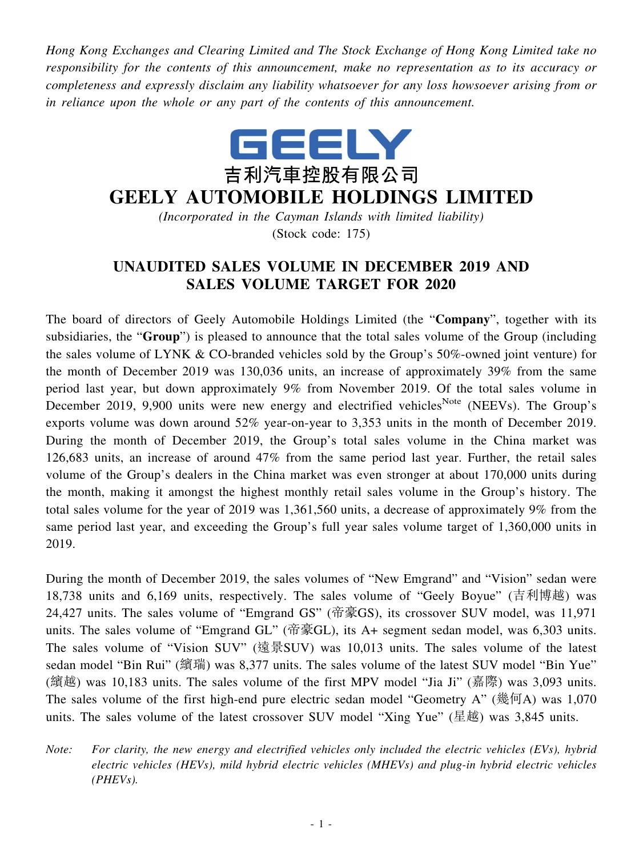*Hong Kong Exchanges and Clearing Limited and The Stock Exchange of Hong Kong Limited take no responsibility for the contents of this announcement, make no representation as to its accuracy or completeness and expressly disclaim any liability whatsoever for any loss howsoever arising from or in reliance upon the whole or any part of the contents of this announcement.*



## **GEELY AUTOMOBILE HOLDINGS LIMITED**

*(Incorporated in the Cayman Islands with limited liability)* (Stock code: 175)

## **UNAUDITED SALES VOLUME IN DECEMBER 2019 AND SALES VOLUME TARGET FOR 2020**

The board of directors of Geely Automobile Holdings Limited (the "**Company**", together with its subsidiaries, the "**Group**") is pleased to announce that the total sales volume of the Group (including the sales volume of LYNK & CO-branded vehicles sold by the Group's 50%-owned joint venture) for the month of December 2019 was 130,036 units, an increase of approximately 39% from the same period last year, but down approximately 9% from November 2019. Of the total sales volume in December 2019, 9,900 units were new energy and electrified vehicles<sup>Note</sup> (NEEVs). The Group's exports volume was down around 52% year-on-year to 3,353 units in the month of December 2019. During the month of December 2019, the Group's total sales volume in the China market was 126,683 units, an increase of around 47% from the same period last year. Further, the retail sales volume of the Group's dealers in the China market was even stronger at about 170,000 units during the month, making it amongst the highest monthly retail sales volume in the Group's history. The total sales volume for the year of 2019 was 1,361,560 units, a decrease of approximately 9% from the same period last year, and exceeding the Group's full year sales volume target of 1,360,000 units in 2019.

During the month of December 2019, the sales volumes of "New Emgrand" and "Vision" sedan were 18,738 units and 6,169 units, respectively. The sales volume of "Geely Boyue" (吉利博越) was 24,427 units. The sales volume of "Emgrand GS" (帝豪GS), its crossover SUV model, was 11,971 units. The sales volume of "Emgrand GL" (帝豪GL), its A+ segment sedan model, was 6,303 units. The sales volume of "Vision SUV" (遠景SUV) was 10,013 units. The sales volume of the latest sedan model "Bin Rui" (繽瑞) was 8,377 units. The sales volume of the latest SUV model "Bin Yue" (繽越) was 10,183 units. The sales volume of the first MPV model "Jia Ji" (嘉際) was 3,093 units. The sales volume of the first high-end pure electric sedan model "Geometry A" (幾何A) was 1,070 units. The sales volume of the latest crossover SUV model "Xing Yue" (星越) was 3,845 units.

*Note: For clarity, the new energy and electrified vehicles only included the electric vehicles (EVs), hybrid electric vehicles (HEVs), mild hybrid electric vehicles (MHEVs) and plug-in hybrid electric vehicles (PHEVs).*